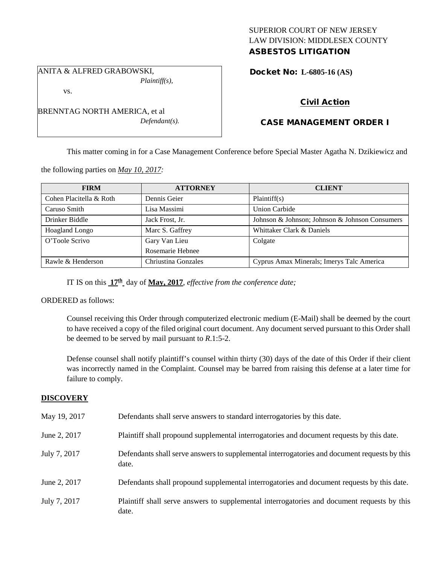## SUPERIOR COURT OF NEW JERSEY LAW DIVISION: MIDDLESEX COUNTY ASBESTOS LITIGATION

ANITA & ALFRED GRABOWSKI, *Plaintiff(s),*

vs.

BRENNTAG NORTH AMERICA, et al *Defendant(s).* Docket No: **L-6805-16 (AS)** 

# Civil Action

# CASE MANAGEMENT ORDER I

This matter coming in for a Case Management Conference before Special Master Agatha N. Dzikiewicz and

the following parties on *May 10, 2017:*

| <b>FIRM</b>             | <b>ATTORNEY</b>     | <b>CLIENT</b>                                  |
|-------------------------|---------------------|------------------------------------------------|
| Cohen Placitella & Roth | Dennis Geier        | Plaintiff(s)                                   |
| Caruso Smith            | Lisa Massimi        | <b>Union Carbide</b>                           |
| Drinker Biddle          | Jack Frost, Jr.     | Johnson & Johnson; Johnson & Johnson Consumers |
| Hoagland Longo          | Marc S. Gaffrey     | Whittaker Clark & Daniels                      |
| O'Toole Scrivo          | Gary Van Lieu       | Colgate                                        |
|                         | Rosemarie Hebnee    |                                                |
| Rawle & Henderson       | Chriustina Gonzales | Cyprus Amax Minerals; Imerys Talc America      |

IT IS on this **17th** day of **May, 2017**, *effective from the conference date;*

ORDERED as follows:

Counsel receiving this Order through computerized electronic medium (E-Mail) shall be deemed by the court to have received a copy of the filed original court document. Any document served pursuant to this Order shall be deemed to be served by mail pursuant to *R*.1:5-2.

Defense counsel shall notify plaintiff's counsel within thirty (30) days of the date of this Order if their client was incorrectly named in the Complaint. Counsel may be barred from raising this defense at a later time for failure to comply.

## **DISCOVERY**

| May 19, 2017 | Defendants shall serve answers to standard interrogatories by this date.                              |
|--------------|-------------------------------------------------------------------------------------------------------|
| June 2, 2017 | Plaintiff shall propound supplemental interrogatories and document requests by this date.             |
| July 7, 2017 | Defendants shall serve answers to supplemental interrogatories and document requests by this<br>date. |
| June 2, 2017 | Defendants shall propound supplemental interrogatories and document requests by this date.            |
| July 7, 2017 | Plaintiff shall serve answers to supplemental interrogatories and document requests by this<br>date.  |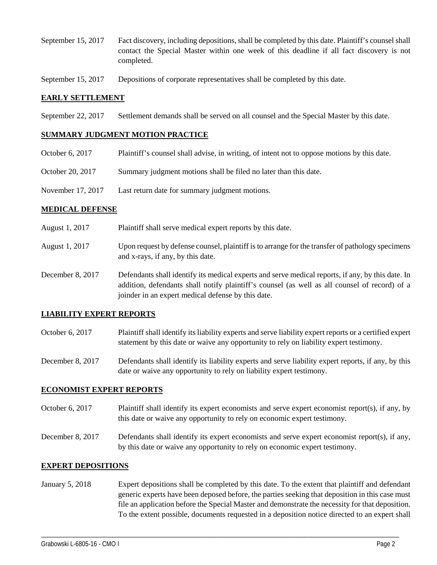- September 15, 2017 Fact discovery, including depositions, shall be completed by this date. Plaintiff's counsel shall contact the Special Master within one week of this deadline if all fact discovery is not completed.
- September 15, 2017 Depositions of corporate representatives shall be completed by this date.

### **EARLY SETTLEMENT**

September 22, 2017 Settlement demands shall be served on all counsel and the Special Master by this date.

### **SUMMARY JUDGMENT MOTION PRACTICE**

- October 6, 2017 Plaintiff's counsel shall advise, in writing, of intent not to oppose motions by this date.
- October 20, 2017 Summary judgment motions shall be filed no later than this date.
- November 17, 2017 Last return date for summary judgment motions.

### **MEDICAL DEFENSE**

- August 1, 2017 Plaintiff shall serve medical expert reports by this date.
- August 1, 2017 Upon request by defense counsel, plaintiff is to arrange for the transfer of pathology specimens and x-rays, if any, by this date.
- December 8, 2017 Defendants shall identify its medical experts and serve medical reports, if any, by this date. In addition, defendants shall notify plaintiff's counsel (as well as all counsel of record) of a joinder in an expert medical defense by this date.

## **LIABILITY EXPERT REPORTS**

- October 6, 2017 Plaintiff shall identify its liability experts and serve liability expert reports or a certified expert statement by this date or waive any opportunity to rely on liability expert testimony.
- December 8, 2017 Defendants shall identify its liability experts and serve liability expert reports, if any, by this date or waive any opportunity to rely on liability expert testimony.

#### **ECONOMIST EXPERT REPORTS**

- October 6, 2017 Plaintiff shall identify its expert economists and serve expert economist report(s), if any, by this date or waive any opportunity to rely on economic expert testimony.
- December 8, 2017 Defendants shall identify its expert economists and serve expert economist report(s), if any, by this date or waive any opportunity to rely on economic expert testimony.

#### **EXPERT DEPOSITIONS**

January 5, 2018 Expert depositions shall be completed by this date. To the extent that plaintiff and defendant generic experts have been deposed before, the parties seeking that deposition in this case must file an application before the Special Master and demonstrate the necessity for that deposition. To the extent possible, documents requested in a deposition notice directed to an expert shall

\_\_\_\_\_\_\_\_\_\_\_\_\_\_\_\_\_\_\_\_\_\_\_\_\_\_\_\_\_\_\_\_\_\_\_\_\_\_\_\_\_\_\_\_\_\_\_\_\_\_\_\_\_\_\_\_\_\_\_\_\_\_\_\_\_\_\_\_\_\_\_\_\_\_\_\_\_\_\_\_\_\_\_\_\_\_\_\_\_\_\_\_\_\_\_\_\_\_\_\_\_\_\_\_\_\_\_\_\_\_